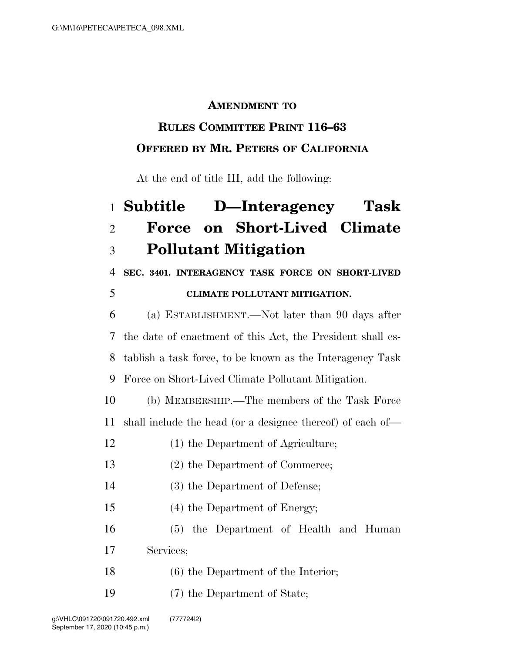#### **AMENDMENT TO**

# **RULES COMMITTEE PRINT 116–63**

### **OFFERED BY MR. PETERS OF CALIFORNIA**

At the end of title III, add the following:

## **Subtitle D—Interagency Task Force on Short-Lived Climate Pollutant Mitigation**

**SEC. 3401. INTERAGENCY TASK FORCE ON SHORT-LIVED** 

#### **CLIMATE POLLUTANT MITIGATION.**

 (a) ESTABLISHMENT.—Not later than 90 days after the date of enactment of this Act, the President shall es- tablish a task force, to be known as the Interagency Task Force on Short-Lived Climate Pollutant Mitigation.

 (b) MEMBERSHIP.—The members of the Task Force shall include the head (or a designee thereof) of each of—

- (1) the Department of Agriculture;
- (2) the Department of Commerce;
- (3) the Department of Defense;
- (4) the Department of Energy;

 (5) the Department of Health and Human Services;

- (6) the Department of the Interior;
- (7) the Department of State;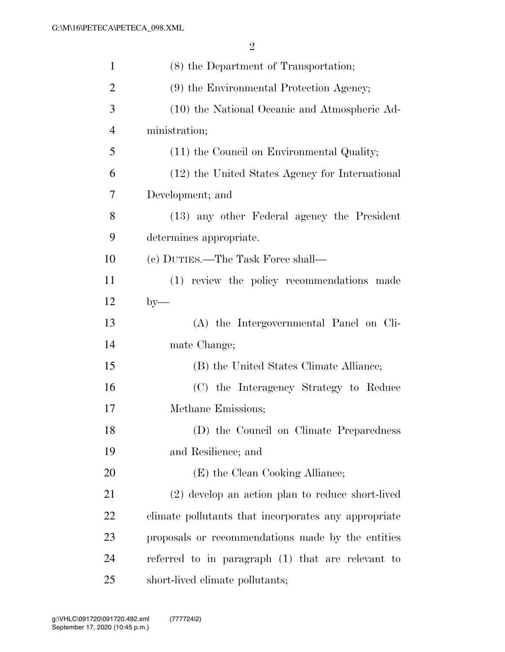| $\mathbf{1}$   | (8) the Department of Transportation;                |
|----------------|------------------------------------------------------|
| $\overline{2}$ | (9) the Environmental Protection Agency;             |
| 3              | (10) the National Oceanic and Atmospheric Ad-        |
| $\overline{4}$ | ministration;                                        |
| 5              | (11) the Council on Environmental Quality;           |
| 6              | (12) the United States Agency for International      |
| 7              | Development; and                                     |
| 8              | (13) any other Federal agency the President          |
| 9              | determines appropriate.                              |
| 10             | (c) DUTIES.—The Task Force shall—                    |
| 11             | (1) review the policy recommendations made           |
| 12             | $by-$                                                |
| 13             | (A) the Intergovernmental Panel on Cli-              |
| 14             | mate Change;                                         |
| 15             | (B) the United States Climate Alliance;              |
| 16             | (C) the Interagency Strategy to Reduce               |
| 17             | Methane Emissions;                                   |
| 18             | (D) the Council on Climate Preparedness              |
| 19             | and Resilience; and                                  |
| 20             | (E) the Clean Cooking Alliance;                      |
| 21             | (2) develop an action plan to reduce short-lived     |
| 22             | climate pollutants that incorporates any appropriate |
| 23             | proposals or recommendations made by the entities    |
| 24             | referred to in paragraph (1) that are relevant to    |
| 25             | short-lived climate pollutants;                      |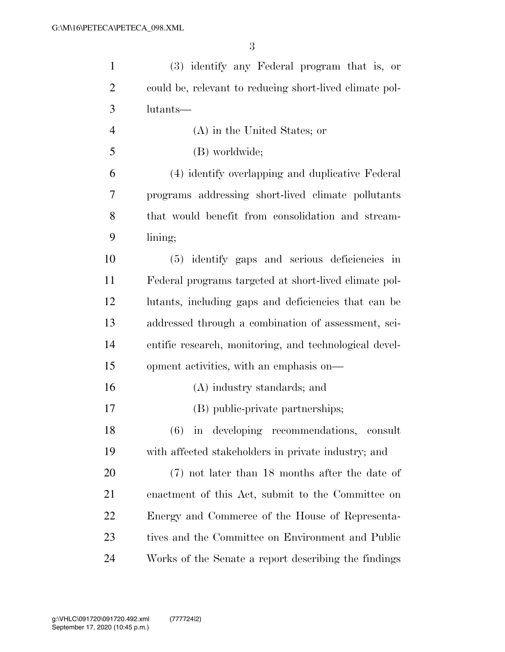| $\mathbf{1}$   | (3) identify any Federal program that is, or            |
|----------------|---------------------------------------------------------|
| $\overline{2}$ | could be, relevant to reducing short-lived climate pol- |
| 3              | lutants—                                                |
| $\overline{4}$ | (A) in the United States; or                            |
| 5              | (B) worldwide;                                          |
| 6              | (4) identify overlapping and duplicative Federal        |
| 7              | programs addressing short-lived climate pollutants      |
| 8              | that would benefit from consolidation and stream-       |
| 9              | lining;                                                 |
| 10             | (5) identify gaps and serious deficiencies in           |
| 11             | Federal programs targeted at short-lived climate pol-   |
| 12             | lutants, including gaps and deficiencies that can be    |
| 13             | addressed through a combination of assessment, sci-     |
| 14             | entific research, monitoring, and technological devel-  |
| 15             | opment activities, with an emphasis on—                 |
| 16             | (A) industry standards; and                             |
| 17             | (B) public-private partnerships;                        |
| 18             | (6) in developing recommendations,<br>consult           |
| 19             | with affected stakeholders in private industry; and     |
| 20             | $(7)$ not later than 18 months after the date of        |
| 21             | enactment of this Act, submit to the Committee on       |
| 22             | Energy and Commerce of the House of Representa-         |
| 23             | tives and the Committee on Environment and Public       |
| 24             | Works of the Senate a report describing the findings    |